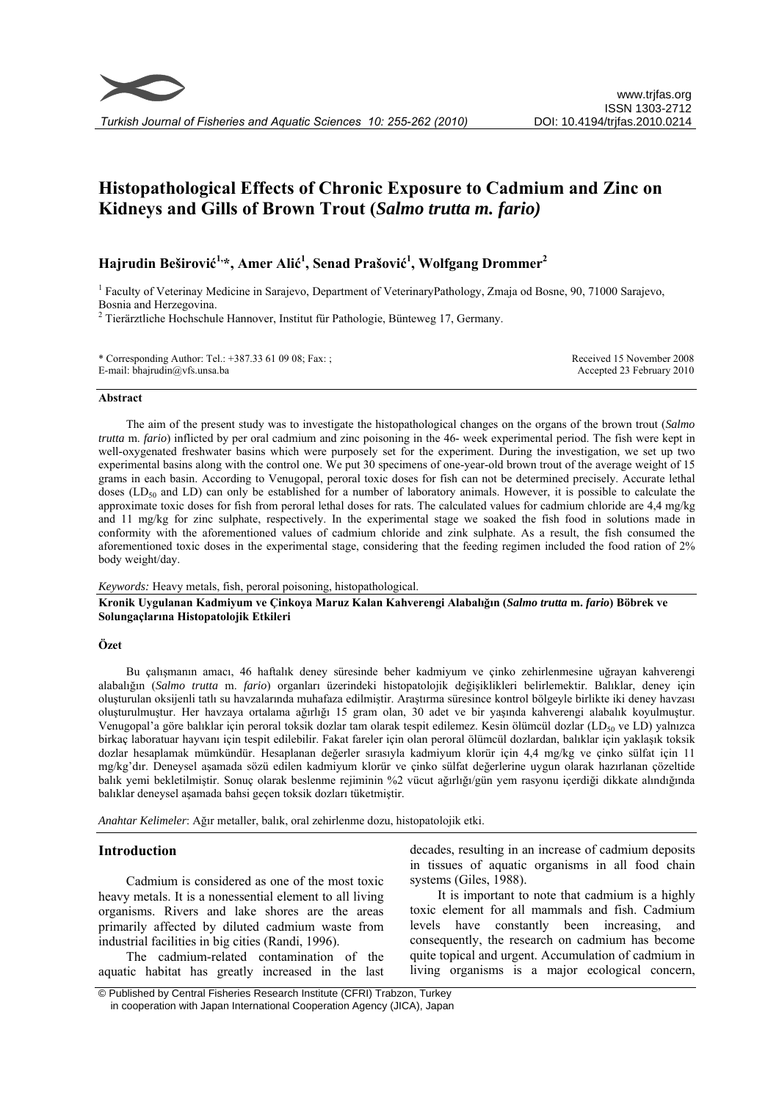

# **Histopathological Effects of Chronic Exposure to Cadmium and Zinc on Kidneys and Gills of Brown Trout (***Salmo trutta m. fario)*

## **Hajrudin Beširović 1,\*, Amer Alić 1 , Senad Prašović 1 , Wolfgang Drommer<sup>2</sup>**

<sup>1</sup> Faculty of Veterinay Medicine in Sarajevo, Department of VeterinaryPathology, Zmaja od Bosne, 90, 71000 Sarajevo, Bosnia and Herzegovina.

<sup>2</sup> Tierärztliche Hochschule Hannover, Institut für Pathologie, Bünteweg 17, Germany.

| * Corresponding Author: Tel.: $+387.33610908$ ; Fax: ; | Received 15 November 2008 |
|--------------------------------------------------------|---------------------------|
| E-mail: bhajrudin@vfs.unsa.ba                          | Accepted 23 February 2010 |

#### **Abstract**

The aim of the present study was to investigate the histopathological changes on the organs of the brown trout (*Salmo trutta* m. *fario*) inflicted by per oral cadmium and zinc poisoning in the 46- week experimental period. The fish were kept in well-oxygenated freshwater basins which were purposely set for the experiment. During the investigation, we set up two experimental basins along with the control one. We put 30 specimens of one-year-old brown trout of the average weight of 15 grams in each basin. According to Venugopal, peroral toxic doses for fish can not be determined precisely. Accurate lethal doses ( $LD_{50}$  and  $LD$ ) can only be established for a number of laboratory animals. However, it is possible to calculate the approximate toxic doses for fish from peroral lethal doses for rats. The calculated values for cadmium chloride are 4,4 mg/kg and 11 mg/kg for zinc sulphate, respectively. In the experimental stage we soaked the fish food in solutions made in conformity with the aforementioned values of cadmium chloride and zink sulphate. As a result, the fish consumed the aforementioned toxic doses in the experimental stage, considering that the feeding regimen included the food ration of 2% body weight/day.

#### *Keywords:* Heavy metals, fish, peroral poisoning, histopathological.

**Kronik Uygulanan Kadmiyum ve Çinkoya Maruz Kalan Kahverengi Alabalığın (***Salmo trutta* **m.** *fario***) Böbrek ve Solungaçlarına Histopatolojik Etkileri** 

#### **Özet**

Bu çalışmanın amacı, 46 haftalık deney süresinde beher kadmiyum ve çinko zehirlenmesine uğrayan kahverengi alabalığın (*Salmo trutta* m. *fario*) organları üzerindeki histopatolojik değişiklikleri belirlemektir. Balıklar, deney için oluşturulan oksijenli tatlı su havzalarında muhafaza edilmiştir. Araştırma süresince kontrol bölgeyle birlikte iki deney havzası oluşturulmuştur. Her havzaya ortalama ağırlığı 15 gram olan, 30 adet ve bir yaşında kahverengi alabalık koyulmuştur. Venugopal'a göre balıklar için peroral toksik dozlar tam olarak tespit edilemez. Kesin ölümcül dozlar (LD<sub>50</sub> ve LD) yalnızca birkaç laboratuar hayvanı için tespit edilebilir. Fakat fareler için olan peroral ölümcül dozlardan, balıklar için yaklaşık toksik dozlar hesaplamak mümkündür. Hesaplanan değerler sırasıyla kadmiyum klorür için 4,4 mg/kg ve çinko sülfat için 11 mg/kg'dır. Deneysel aşamada sözü edilen kadmiyum klorür ve çinko sülfat değerlerine uygun olarak hazırlanan çözeltide balık yemi bekletilmiştir. Sonuç olarak beslenme rejiminin %2 vücut ağırlığı/gün yem rasyonu içerdiği dikkate alındığında balıklar deneysel aşamada bahsi geçen toksik dozları tüketmiştir.

*Anahtar Kelimeler*: Ağır metaller, balık, oral zehirlenme dozu, histopatolojik etki.

## **Introduction**

Cadmium is considered as one of the most toxic heavy metals. It is a nonessential element to all living organisms. Rivers and lake shores are the areas primarily affected by diluted cadmium waste from industrial facilities in big cities (Randi, 1996).

The cadmium-related contamination of the aquatic habitat has greatly increased in the last decades, resulting in an increase of cadmium deposits in tissues of aquatic organisms in all food chain systems (Giles, 1988).

It is important to note that cadmium is a highly toxic element for all mammals and fish. Cadmium levels have constantly been increasing, and consequently, the research on cadmium has become quite topical and urgent. Accumulation of cadmium in living organisms is a major ecological concern,

 <sup>©</sup> Published by Central Fisheries Research Institute (CFRI) Trabzon, Turkey in cooperation with Japan International Cooperation Agency (JICA), Japan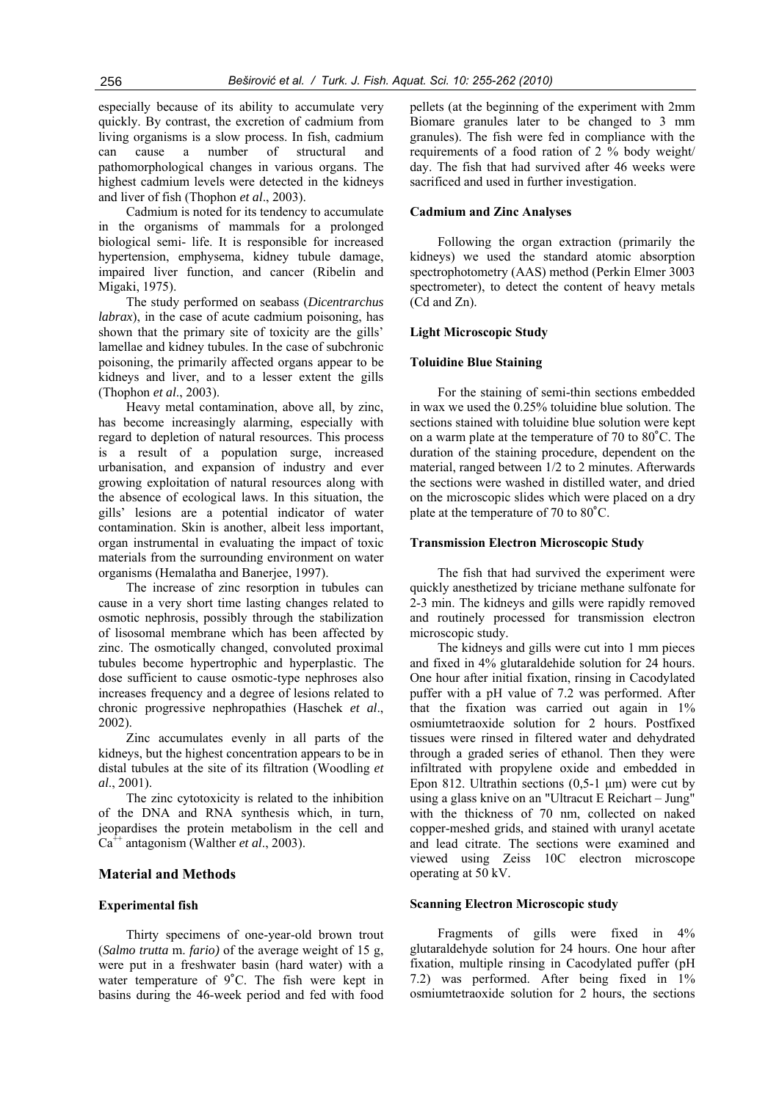especially because of its ability to accumulate very quickly. By contrast, the excretion of cadmium from living organisms is a slow process. In fish, cadmium can cause a number of structural and pathomorphological changes in various organs. The highest cadmium levels were detected in the kidneys and liver of fish (Thophon *et al*., 2003).

Cadmium is noted for its tendency to accumulate in the organisms of mammals for a prolonged biological semi- life. It is responsible for increased hypertension, emphysema, kidney tubule damage, impaired liver function, and cancer (Ribelin and Migaki, 1975).

The study performed on seabass (*Dicentrarchus labrax*), in the case of acute cadmium poisoning, has shown that the primary site of toxicity are the gills' lamellae and kidney tubules. In the case of subchronic poisoning, the primarily affected organs appear to be kidneys and liver, and to a lesser extent the gills (Thophon *et al*., 2003).

Heavy metal contamination, above all, by zinc, has become increasingly alarming, especially with regard to depletion of natural resources. This process is a result of a population surge, increased urbanisation, and expansion of industry and ever growing exploitation of natural resources along with the absence of ecological laws. In this situation, the gills' lesions are a potential indicator of water contamination. Skin is another, albeit less important, organ instrumental in evaluating the impact of toxic materials from the surrounding environment on water organisms (Hemalatha and Banerjee, 1997).

The increase of zinc resorption in tubules can cause in a very short time lasting changes related to osmotic nephrosis, possibly through the stabilization of lisosomal membrane which has been affected by zinc. The osmotically changed, convoluted proximal tubules become hypertrophic and hyperplastic. The dose sufficient to cause osmotic-type nephroses also increases frequency and a degree of lesions related to chronic progressive nephropathies (Haschek *et al*., 2002).

Zinc accumulates evenly in all parts of the kidneys, but the highest concentration appears to be in distal tubules at the site of its filtration (Woodling *et al*., 2001).

The zinc cytotoxicity is related to the inhibition of the DNA and RNA synthesis which, in turn, jeopardises the protein metabolism in the cell and Ca<sup>++</sup> antagonism (Walther *et al.*, 2003).

## **Material and Methods**

## **Experimental fish**

Thirty specimens of one-year-old brown trout (*Salmo trutta* m. *fario)* of the average weight of 15 g, were put in a freshwater basin (hard water) with a water temperature of 9˚C. The fish were kept in basins during the 46-week period and fed with food

pellets (at the beginning of the experiment with 2mm Biomare granules later to be changed to 3 mm granules). The fish were fed in compliance with the requirements of a food ration of 2 % body weight/ day. The fish that had survived after 46 weeks were sacrificed and used in further investigation.

## **Cadmium and Zinc Analyses**

Following the organ extraction (primarily the kidneys) we used the standard atomic absorption spectrophotometry (AAS) method (Perkin Elmer 3003 spectrometer), to detect the content of heavy metals (Cd and Zn).

## **Light Microscopic Study**

## **Toluidine Blue Staining**

For the staining of semi-thin sections embedded in wax we used the 0.25% toluidine blue solution. The sections stained with toluidine blue solution were kept on a warm plate at the temperature of 70 to 80˚C. The duration of the staining procedure, dependent on the material, ranged between 1/2 to 2 minutes. Afterwards the sections were washed in distilled water, and dried on the microscopic slides which were placed on a dry plate at the temperature of 70 to 80˚C.

#### **Transmission Electron Microscopic Study**

The fish that had survived the experiment were quickly anesthetized by triciane methane sulfonate for 2-3 min. The kidneys and gills were rapidly removed and routinely processed for transmission electron microscopic study.

The kidneys and gills were cut into 1 mm pieces and fixed in 4% glutaraldehide solution for 24 hours. One hour after initial fixation, rinsing in Cacodylated puffer with a pH value of 7.2 was performed. After that the fixation was carried out again in 1% osmiumtetraoxide solution for 2 hours. Postfixed tissues were rinsed in filtered water and dehydrated through a graded series of ethanol. Then they were infiltrated with propylene oxide and embedded in Epon 812. Ultrathin sections  $(0,5-1 \mu m)$  were cut by using a glass knive on an "Ultracut E Reichart – Jung" with the thickness of 70 nm, collected on naked copper-meshed grids, and stained with uranyl acetate and lead citrate. The sections were examined and viewed using Zeiss 10C electron microscope operating at 50 kV.

#### **Scanning Electron Microscopic study**

Fragments of gills were fixed in 4% glutaraldehyde solution for 24 hours. One hour after fixation, multiple rinsing in Cacodylated puffer (pH 7.2) was performed. After being fixed in 1% osmiumtetraoxide solution for 2 hours, the sections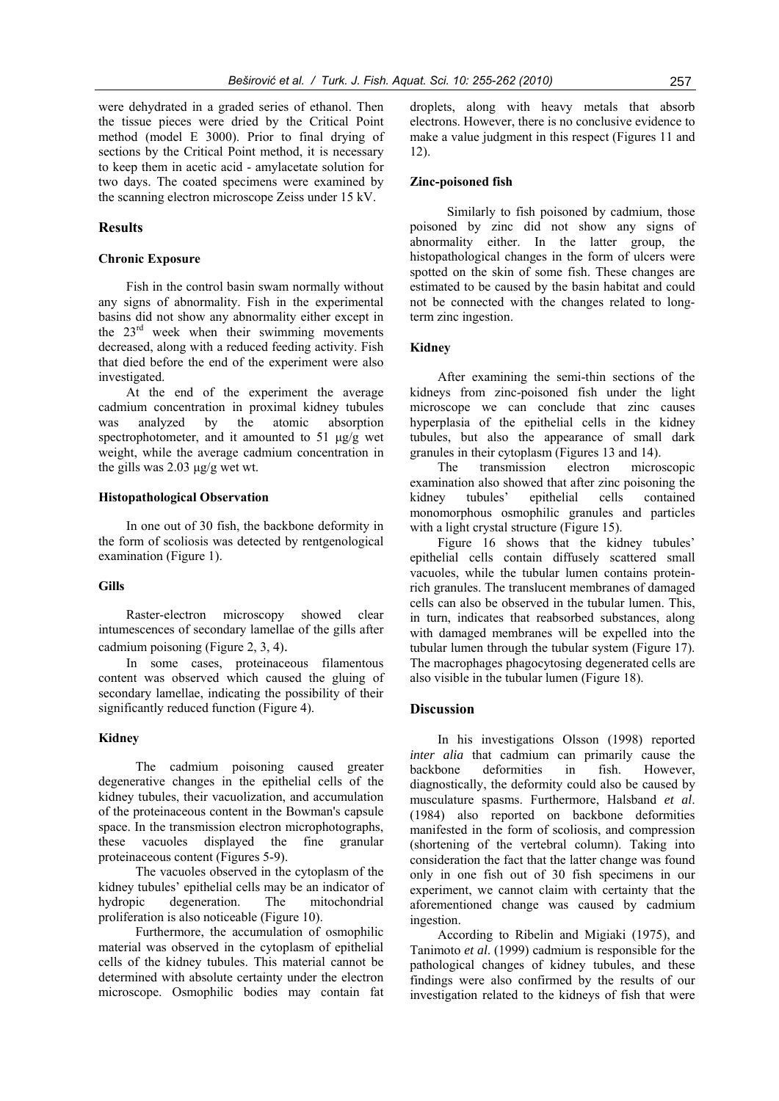were dehydrated in a graded series of ethanol. Then the tissue pieces were dried by the Critical Point method (model E 3000). Prior to final drying of sections by the Critical Point method, it is necessary to keep them in acetic acid - amylacetate solution for two days. The coated specimens were examined by the scanning electron microscope Zeiss under 15 kV.

## **Results**

## **Chronic Exposure**

Fish in the control basin swam normally without any signs of abnormality. Fish in the experimental basins did not show any abnormality either except in the  $23<sup>rd</sup>$  week when their swimming movements decreased, along with a reduced feeding activity. Fish that died before the end of the experiment were also investigated.

At the end of the experiment the average cadmium concentration in proximal kidney tubules was analyzed by the atomic absorption spectrophotometer, and it amounted to 51 μg/g wet weight, while the average cadmium concentration in the gills was 2.03 μg/g wet wt.

## **Histopathological Observation**

In one out of 30 fish, the backbone deformity in the form of scoliosis was detected by rentgenological examination (Figure 1).

### **Gills**

Raster-electron microscopy showed clear intumescences of secondary lamellae of the gills after

cadmium poisoning (Figure 2, 3, 4). In some cases, proteinaceous filamentous content was observed which caused the gluing of secondary lamellae, indicating the possibility of their significantly reduced function (Figure 4).

## **Kidney**

The cadmium poisoning caused greater degenerative changes in the epithelial cells of the kidney tubules, their vacuolization, and accumulation of the proteinaceous content in the Bowman's capsule space. In the transmission electron microphotographs, these vacuoles displayed the fine granular proteinaceous content (Figures 5-9).

The vacuoles observed in the cytoplasm of the kidney tubules' epithelial cells may be an indicator of hydropic degeneration. The mitochondrial proliferation is also noticeable (Figure 10).

Furthermore, the accumulation of osmophilic material was observed in the cytoplasm of epithelial cells of the kidney tubules. This material cannot be determined with absolute certainty under the electron microscope. Osmophilic bodies may contain fat droplets, along with heavy metals that absorb electrons. However, there is no conclusive evidence to make a value judgment in this respect (Figures 11 and 12).

## **Zinc-poisoned fish**

Similarly to fish poisoned by cadmium, those poisoned by zinc did not show any signs of abnormality either. In the latter group, the histopathological changes in the form of ulcers were spotted on the skin of some fish. These changes are estimated to be caused by the basin habitat and could not be connected with the changes related to longterm zinc ingestion.

#### **Kidney**

After examining the semi-thin sections of the kidneys from zinc-poisoned fish under the light microscope we can conclude that zinc causes hyperplasia of the epithelial cells in the kidney tubules, but also the appearance of small dark granules in their cytoplasm (Figures 13 and 14).

The transmission electron microscopic examination also showed that after zinc poisoning the kidney tubules' epithelial cells contained monomorphous osmophilic granules and particles with a light crystal structure (Figure 15).

Figure 16 shows that the kidney tubules' epithelial cells contain diffusely scattered small vacuoles, while the tubular lumen contains proteinrich granules. The translucent membranes of damaged cells can also be observed in the tubular lumen. This, in turn, indicates that reabsorbed substances, along with damaged membranes will be expelled into the tubular lumen through the tubular system (Figure 17). The macrophages phagocytosing degenerated cells are also visible in the tubular lumen (Figure 18).

## **Discussion**

In his investigations Olsson (1998) reported *inter alia* that cadmium can primarily cause the backbone deformities in fish. However, diagnostically, the deformity could also be caused by musculature spasms. Furthermore, Halsband *et al*. (1984) also reported on backbone deformities manifested in the form of scoliosis, and compression (shortening of the vertebral column). Taking into consideration the fact that the latter change was found only in one fish out of 30 fish specimens in our experiment, we cannot claim with certainty that the aforementioned change was caused by cadmium ingestion.

According to Ribelin and Migiaki (1975), and Tanimoto *et al*. (1999) cadmium is responsible for the pathological changes of kidney tubules, and these findings were also confirmed by the results of our investigation related to the kidneys of fish that were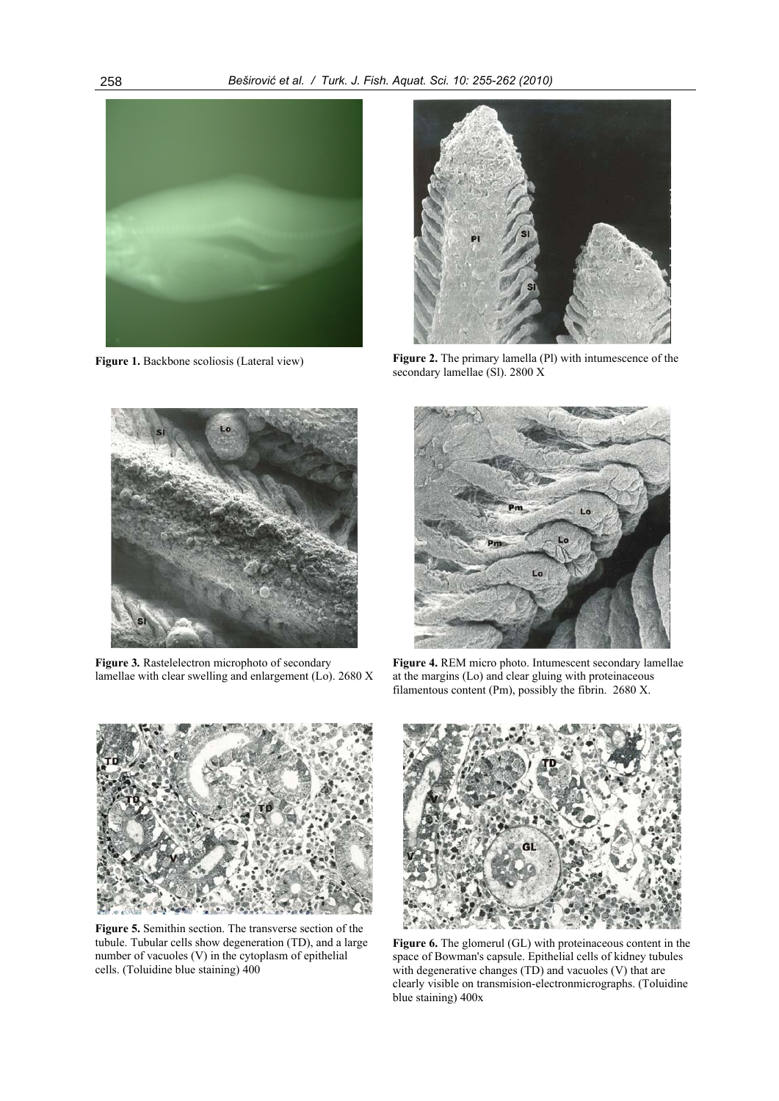

**Figure 1.** Backbone scoliosis (Lateral view)



Figure 2. The primary lamella (Pl) with intumescence of the secondary lamellae (Sl). 2800 X



**Figure 3***.* Rastelelectron microphoto of secondary lamellae with clear swelling and enlargement (Lo). 2680 X



**Figure 4.** REM micro photo. Intumescent secondary lamellae at the margins (Lo) and clear gluing with proteinaceous filamentous content (Pm), possibly the fibrin. 2680 X.



**Figure 5.** Semithin section. The transverse section of the tubule. Tubular cells show degeneration (TD), and a large number of vacuoles (V) in the cytoplasm of epithelial cells. (Toluidine blue staining) 400



**Figure 6.** The glomerul (GL) with proteinaceous content in the space of Bowman's capsule. Epithelial cells of kidney tubules with degenerative changes (TD) and vacuoles (V) that are clearly visible on transmision-electronmicrographs. (Toluidine blue staining) 400x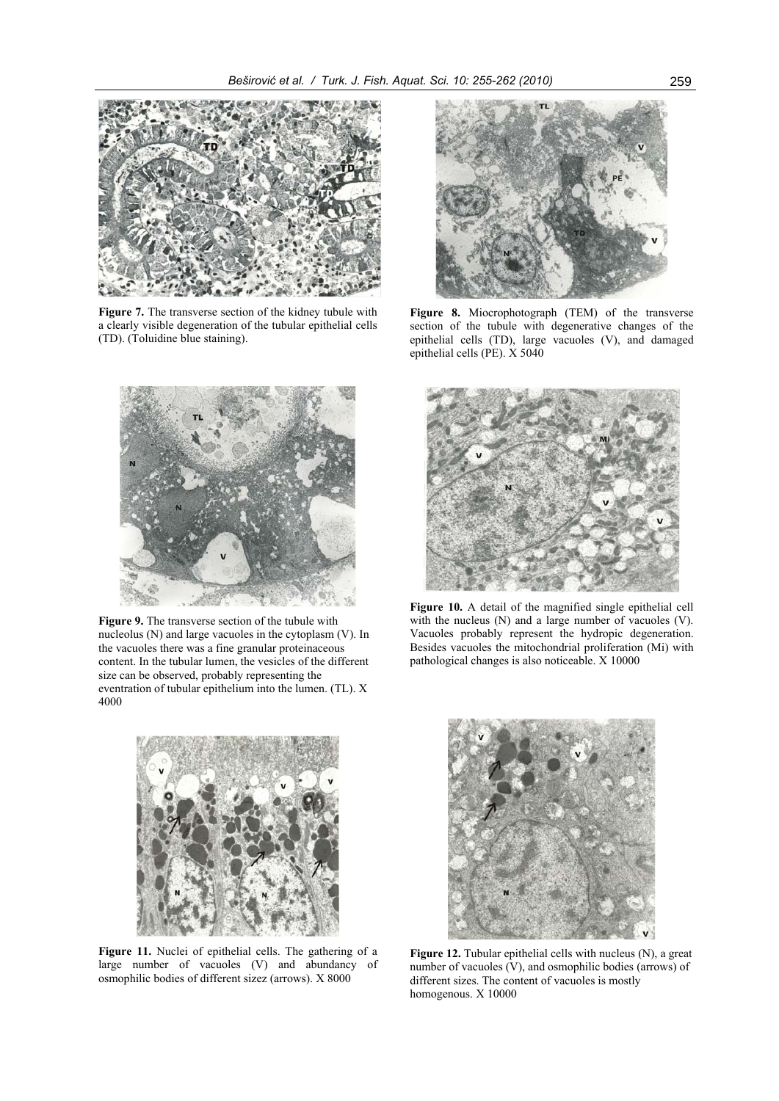

**Figure 7.** The transverse section of the kidney tubule with a clearly visible degeneration of the tubular epithelial cells (TD). (Toluidine blue staining).



Figure 9. The transverse section of the tubule with nucleolus (N) and large vacuoles in the cytoplasm (V). In the vacuoles there was a fine granular proteinaceous content. In the tubular lumen, the vesicles of the different size can be observed, probably representing the eventration of tubular epithelium into the lumen. (TL). X 4000



**Figure 11.** Nuclei of epithelial cells. The gathering of a large number of vacuoles (V) and abundancy of osmophilic bodies of different sizez (arrows). X 8000



**Figure 8.** Miocrophotograph (TEM) of the transverse section of the tubule with degenerative changes of the epithelial cells (TD), large vacuoles (V), and damaged epithelial cells (PE). X 5040



**Figure 10.** A detail of the magnified single epithelial cell with the nucleus (N) and a large number of vacuoles (V). Vacuoles probably represent the hydropic degeneration. Besides vacuoles the mitochondrial proliferation (Mi) with pathological changes is also noticeable. X 10000



**Figure 12.** Tubular epithelial cells with nucleus (N), a great number of vacuoles  $(V)$ , and osmophilic bodies (arrows) of different sizes. The content of vacuoles is mostly homogenous. X 10000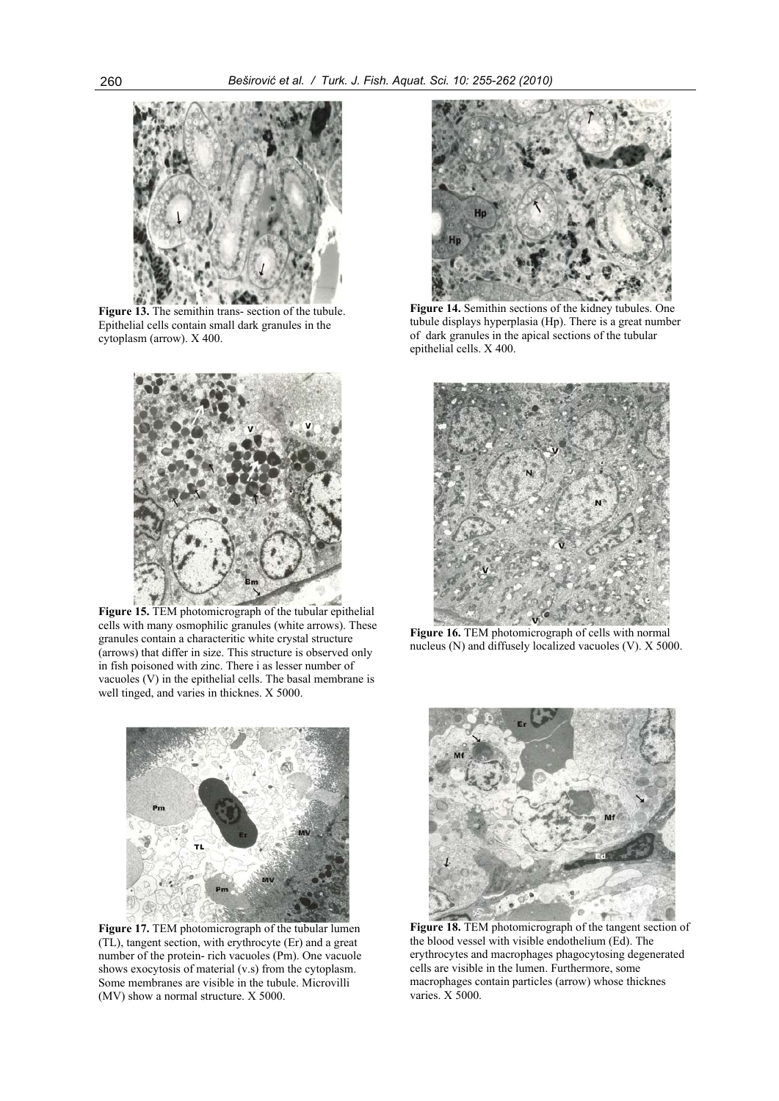

**Figure 13.** The semithin trans- section of the tubule. Epithelial cells contain small dark granules in the cytoplasm (arrow). X 400.



**Figure 15.** TEM photomicrograph of the tubular epithelial cells with many osmophilic granules (white arrows). These granules contain a characteritic white crystal structure (arrows) that differ in size. This structure is observed only in fish poisoned with zinc. There i as lesser number of vacuoles (V) in the epithelial cells. The basal membrane is well tinged, and varies in thicknes. X 5000.



**Figure 17.** TEM photomicrograph of the tubular lumen (TL), tangent section, with erythrocyte (Er) and a great number of the protein- rich vacuoles (Pm). One vacuole shows exocytosis of material (v.s) from the cytoplasm. Some membranes are visible in the tubule. Microvilli (MV) show a normal structure. X 5000.



**Figure 14.** Semithin sections of the kidney tubules. One tubule displays hyperplasia (Hp). There is a great number of dark granules in the apical sections of the tubular epithelial cells. X 400.



**Figure 16.** TEM photomicrograph of cells with normal nucleus (N) and diffusely localized vacuoles (V). X 5000.



**Figure 18.** TEM photomicrograph of the tangent section of the blood vessel with visible endothelium (Ed). The erythrocytes and macrophages phagocytosing degenerated cells are visible in the lumen. Furthermore, some macrophages contain particles (arrow) whose thicknes varies. X 5000.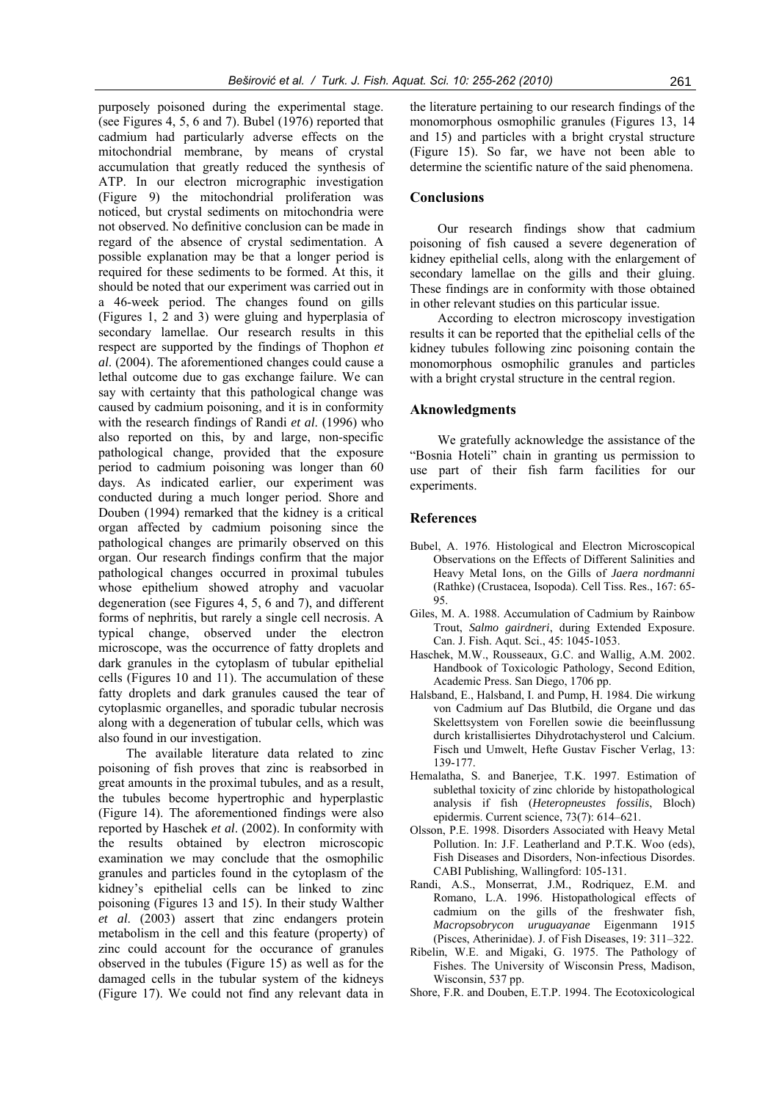purposely poisoned during the experimental stage. (see Figures 4, 5, 6 and 7). Bubel (1976) reported that cadmium had particularly adverse effects on the mitochondrial membrane, by means of crystal accumulation that greatly reduced the synthesis of ATP. In our electron micrographic investigation (Figure 9) the mitochondrial proliferation was noticed, but crystal sediments on mitochondria were not observed. No definitive conclusion can be made in regard of the absence of crystal sedimentation. A possible explanation may be that a longer period is required for these sediments to be formed. At this, it should be noted that our experiment was carried out in a 46-week period. The changes found on gills (Figures 1, 2 and 3) were gluing and hyperplasia of secondary lamellae. Our research results in this respect are supported by the findings of Thophon *et al*. (2004). The aforementioned changes could cause a lethal outcome due to gas exchange failure. We can say with certainty that this pathological change was caused by cadmium poisoning, and it is in conformity with the research findings of Randi *et al*. (1996) who also reported on this, by and large, non-specific pathological change, provided that the exposure period to cadmium poisoning was longer than 60 days. As indicated earlier, our experiment was conducted during a much longer period. Shore and Douben (1994) remarked that the kidney is a critical organ affected by cadmium poisoning since the pathological changes are primarily observed on this organ. Our research findings confirm that the major pathological changes occurred in proximal tubules whose epithelium showed atrophy and vacuolar degeneration (see Figures 4, 5, 6 and 7), and different forms of nephritis, but rarely a single cell necrosis. A typical change, observed under the electron microscope, was the occurrence of fatty droplets and dark granules in the cytoplasm of tubular epithelial cells (Figures 10 and 11). The accumulation of these fatty droplets and dark granules caused the tear of cytoplasmic organelles, and sporadic tubular necrosis along with a degeneration of tubular cells, which was also found in our investigation.

The available literature data related to zinc poisoning of fish proves that zinc is reabsorbed in great amounts in the proximal tubules, and as a result, the tubules become hypertrophic and hyperplastic (Figure 14). The aforementioned findings were also reported by Haschek *et al*. (2002). In conformity with the results obtained by electron microscopic examination we may conclude that the osmophilic granules and particles found in the cytoplasm of the kidney's epithelial cells can be linked to zinc poisoning (Figures 13 and 15). In their study Walther *et al*. (2003) assert that zinc endangers protein metabolism in the cell and this feature (property) of zinc could account for the occurance of granules observed in the tubules (Figure 15) as well as for the damaged cells in the tubular system of the kidneys (Figure 17). We could not find any relevant data in

the literature pertaining to our research findings of the monomorphous osmophilic granules (Figures 13, 14 and 15) and particles with a bright crystal structure (Figure 15). So far, we have not been able to determine the scientific nature of the said phenomena.

## **Conclusions**

Our research findings show that cadmium poisoning of fish caused a severe degeneration of kidney epithelial cells, along with the enlargement of secondary lamellae on the gills and their gluing. These findings are in conformity with those obtained in other relevant studies on this particular issue.

According to electron microscopy investigation results it can be reported that the epithelial cells of the kidney tubules following zinc poisoning contain the monomorphous osmophilic granules and particles with a bright crystal structure in the central region.

### **Aknowledgments**

We gratefully acknowledge the assistance of the "Bosnia Hoteli" chain in granting us permission to use part of their fish farm facilities for our experiments.

#### **References**

- Bubel, A. 1976. Histological and Electron Microscopical Observations on the Effects of Different Salinities and Heavy Metal Ions, on the Gills of *Jaera nordmanni* (Rathke) (Crustacea, Isopoda). Cell Tiss. Res., 167: 65-  $05$
- Giles, M. A. 1988. Accumulation of Cadmium by Rainbow Trout, *Salmo gairdneri*, during Extended Exposure. Can. J. Fish. Aqut. Sci., 45: 1045-1053.
- Haschek, M.W., Rousseaux, G.C. and Wallig, A.M. 2002. Handbook of Toxicologic Pathology, Second Edition, Academic Press. San Diego, 1706 pp.
- Halsband, E., Halsband, I. and Pump, H. 1984. Die wirkung von Cadmium auf Das Blutbild, die Organe und das Skelettsystem von Forellen sowie die beeinflussung durch kristallisiertes Dihydrotachysterol und Calcium. Fisch und Umwelt, Hefte Gustav Fischer Verlag, 13: 139-177.
- Hemalatha, S. and Banerjee, T.K. 1997. Estimation of sublethal toxicity of zinc chloride by histopathological analysis if fish (*Heteropneustes fossilis*, Bloch) epidermis. Current science, 73(7): 614–621.
- Olsson, P.E. 1998. Disorders Associated with Heavy Metal Pollution. In: J.F. Leatherland and P.T.K. Woo (eds), Fish Diseases and Disorders, Non-infectious Disordes. CABI Publishing, Wallingford: 105-131.
- Randi, A.S., Monserrat, J.M., Rodriquez, E.M. and Romano, L.A. 1996. Histopathological effects of cadmium on the gills of the freshwater fish, *Macropsobrycon uruguayanae* Eigenmann 1915 (Pisces, Atherinidae). J. of Fish Diseases, 19: 311–322.
- Ribelin, W.E. and Migaki, G. 1975. The Pathology of Fishes. The University of Wisconsin Press, Madison, Wisconsin, 537 pp.
- Shore, F.R. and Douben, E.T.P. 1994. The Ecotoxicological